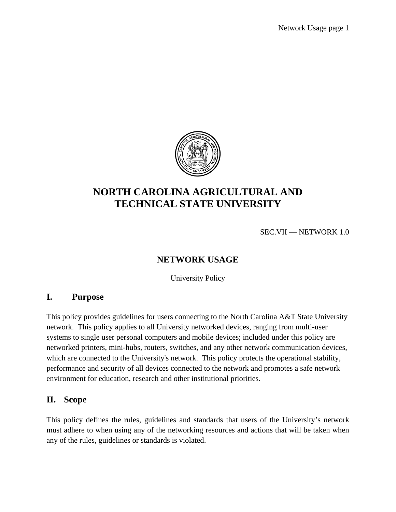

# **NORTH CAROLINA AGRICULTURAL AND TECHNICAL STATE UNIVERSITY**

SEC.VII — NETWORK 1.0

## **NETWORK USAGE**

University Policy

#### **I. Purpose**

This policy provides guidelines for users connecting to the North Carolina A&T State University network. This policy applies to all University networked devices, ranging from multi-user systems to single user personal computers and mobile devices; included under this policy are networked printers, mini-hubs, routers, switches, and any other network communication devices, which are connected to the University's network. This policy protects the operational stability, performance and security of all devices connected to the network and promotes a safe network environment for education, research and other institutional priorities.

#### **II. Scope**

This policy defines the rules, guidelines and standards that users of the University's network must adhere to when using any of the networking resources and actions that will be taken when any of the rules, guidelines or standards is violated.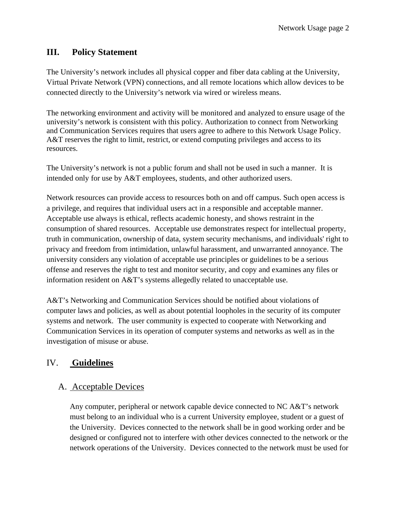#### **III. Policy Statement**

The University's network includes all physical copper and fiber data cabling at the University, Virtual Private Network (VPN) connections, and all remote locations which allow devices to be connected directly to the University's network via wired or wireless means.

The networking environment and activity will be monitored and analyzed to ensure usage of the university's network is consistent with this policy. Authorization to connect from Networking and Communication Services requires that users agree to adhere to this Network Usage Policy. A&T reserves the right to limit, restrict, or extend computing privileges and access to its resources.

The University's network is not a public forum and shall not be used in such a manner. It is intended only for use by A&T employees, students, and other authorized users.

Network resources can provide access to resources both on and off campus. Such open access is a privilege, and requires that individual users act in a responsible and acceptable manner. Acceptable use always is ethical, reflects academic honesty, and shows restraint in the consumption of shared resources. Acceptable use demonstrates respect for intellectual property, truth in communication, ownership of data, system security mechanisms, and individuals' right to privacy and freedom from intimidation, unlawful harassment, and unwarranted annoyance. The university considers any violation of acceptable use principles or guidelines to be a serious offense and reserves the right to test and monitor security, and copy and examines any files or information resident on A&T's systems allegedly related to unacceptable use.

A&T's Networking and Communication Services should be notified about violations of computer laws and policies, as well as about potential loopholes in the security of its computer systems and network. The user community is expected to cooperate with Networking and Communication Services in its operation of computer systems and networks as well as in the investigation of misuse or abuse.

#### IV. **Guidelines**

#### A. Acceptable Devices

Any computer, peripheral or network capable device connected to NC A&T's network must belong to an individual who is a current University employee, student or a guest of the University. Devices connected to the network shall be in good working order and be designed or configured not to interfere with other devices connected to the network or the network operations of the University. Devices connected to the network must be used for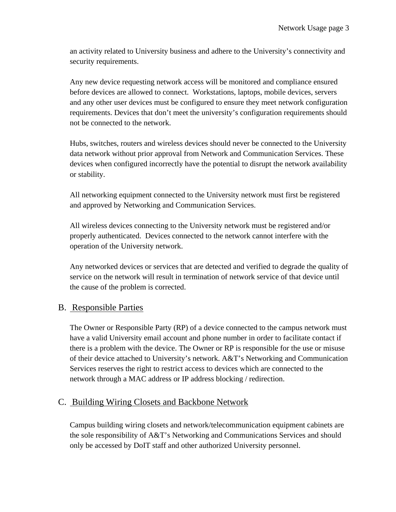an activity related to University business and adhere to the University's connectivity and security requirements.

Any new device requesting network access will be monitored and compliance ensured before devices are allowed to connect. Workstations, laptops, mobile devices, servers and any other user devices must be configured to ensure they meet network configuration requirements. Devices that don't meet the university's configuration requirements should not be connected to the network.

Hubs, switches, routers and wireless devices should never be connected to the University data network without prior approval from Network and Communication Services. These devices when configured incorrectly have the potential to disrupt the network availability or stability.

All networking equipment connected to the University network must first be registered and approved by Networking and Communication Services.

All wireless devices connecting to the University network must be registered and/or properly authenticated. Devices connected to the network cannot interfere with the operation of the University network.

Any networked devices or services that are detected and verified to degrade the quality of service on the network will result in termination of network service of that device until the cause of the problem is corrected.

#### B. Responsible Parties

The Owner or Responsible Party (RP) of a device connected to the campus network must have a valid University email account and phone number in order to facilitate contact if there is a problem with the device. The Owner or RP is responsible for the use or misuse of their device attached to University's network. A&T's Networking and Communication Services reserves the right to restrict access to devices which are connected to the network through a MAC address or IP address blocking / redirection.

#### C. Building Wiring Closets and Backbone Network

Campus building wiring closets and network/telecommunication equipment cabinets are the sole responsibility of A&T's Networking and Communications Services and should only be accessed by DoIT staff and other authorized University personnel.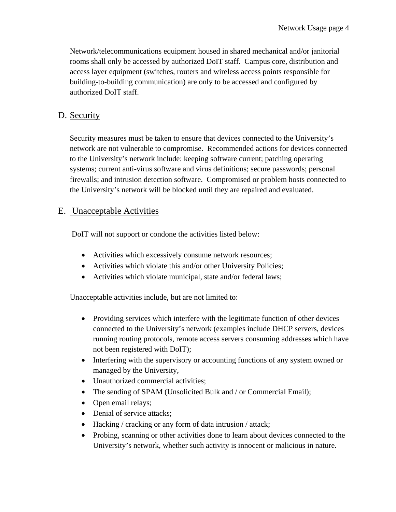Network/telecommunications equipment housed in shared mechanical and/or janitorial rooms shall only be accessed by authorized DoIT staff. Campus core, distribution and access layer equipment (switches, routers and wireless access points responsible for building-to-building communication) are only to be accessed and configured by authorized DoIT staff.

### D. Security

Security measures must be taken to ensure that devices connected to the University's network are not vulnerable to compromise. Recommended actions for devices connected to the University's network include: keeping software current; patching operating systems; current anti-virus software and virus definitions; secure passwords; personal firewalls; and intrusion detection software. Compromised or problem hosts connected to the University's network will be blocked until they are repaired and evaluated.

#### E. Unacceptable Activities

DoIT will not support or condone the activities listed below:

- Activities which excessively consume network resources;
- Activities which violate this and/or other University Policies;
- Activities which violate municipal, state and/or federal laws;

Unacceptable activities include, but are not limited to:

- Providing services which interfere with the legitimate function of other devices connected to the University's network (examples include DHCP servers, devices running routing protocols, remote access servers consuming addresses which have not been registered with DoIT);
- Interfering with the supervisory or accounting functions of any system owned or managed by the University,
- Unauthorized commercial activities:
- The sending of SPAM (Unsolicited Bulk and / or Commercial Email);
- Open email relays;
- Denial of service attacks:
- Hacking / cracking or any form of data intrusion / attack;
- Probing, scanning or other activities done to learn about devices connected to the University's network, whether such activity is innocent or malicious in nature.